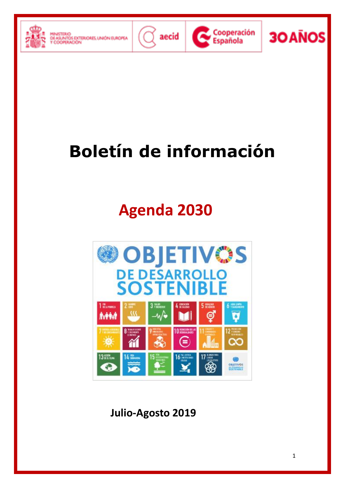





**30 ANOS** 

# **Boletín de información**

## **Agenda 2030**



**Julio-Agosto 2019**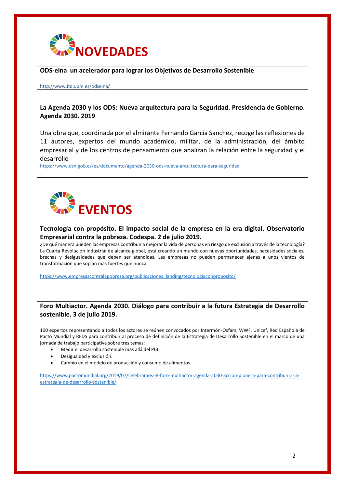

### **ODS-eina un acelerador para lograr los Objetivos de Desarrollo Sostenible**

#### http://www.itd.upm.es/odseina/

## **La Agenda 2030 y los ODS: Nueva arquitectura para la Seguridad**. **Presidencia de Gobierno. Agenda 2030. 2019**

Una obra que, coordinada por el almirante Fernando García Sanchez, recoge las reflexiones de 11 autores, expertos del mundo académico, militar, de la administración, del ámbito empresarial y de los centros de pensamiento que analizan la relación entre la seguridad y el desarrollo

https://www.dsn.gob.es/es/documento/agenda-2030-ods-nueva-arquitectura-para-seguridad



## **Tecnología con propósito. El impacto social de la empresa en la era digital. Observatorio Empresarial contra la pobreza. Codespa. 2 de julio 2019.**

¿De qué manera pueden las empresas contribuir a mejorar la vida de personas en riesgo de exclusión a través de la tecnología? La Cuarta Revolución Industrial de alcance global, está creando un mundo con nuevas oportunidades, necesidades sociales, brechas y desigualdades que deben ser atendidas. Las empresas no pueden permanecer ajenas a unos vientos de transformación que soplan más fuertes que nunca.

[https://www.empresascontralapobreza.org/publicaciones\\_landing/tecnologiaconproposito/](https://www.empresascontralapobreza.org/publicaciones_landing/tecnologiaconproposito/)

## **Foro Multiactor. Agenda 2030. Diálogo para contribuir a la futura Estrategia de Desarrollo sostenible. 3 de julio 2019.**

100 expertos representando a todos los actores se reúnen convocados por Intermón-Oxfam, WWF, Unicef, Red Española de Pacto Mundial y REDS para contribuir al proceso de definición de la Estrategia de Desarrollo Sostenible en el marco de una jornada de trabajo participativa sobre tres temas:

- Medir el desarrollo sostenible más allá del PIB
- Desigualdad y exclusión.
- Cambio en el modelo de producción y consumo de alimentos.

[https://www.pactomundial.org/2019/07/celebramos-el-foro-multiactor-agenda-2030-accion-pionera-para-contribuir-a-la](https://www.pactomundial.org/2019/07/celebramos-el-foro-multiactor-agenda-2030-accion-pionera-para-contribuir-a-la-estrategia-de-desarrollo-sostenible/)[estrategia-de-desarrollo-sostenible/](https://www.pactomundial.org/2019/07/celebramos-el-foro-multiactor-agenda-2030-accion-pionera-para-contribuir-a-la-estrategia-de-desarrollo-sostenible/)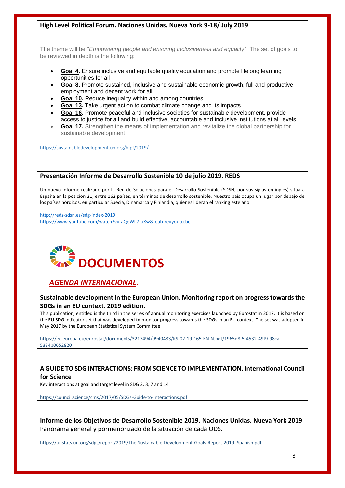## **High Level Political Forum. Naciones Unidas. Nueva York 9-18/ July 2019**

The theme will be "*Empowering people and ensuring inclusiveness and equality*". The set of goals to be reviewed in depth is the following:

- **[Goal 4.](https://sustainabledevelopment.un.org/sdg4)** Ensure inclusive and equitable quality education and promote lifelong learning opportunities for all
- **[Goal 8.](https://sustainabledevelopment.un.org/sdg8)** Promote sustained, inclusive and sustainable economic growth, full and productive employment and decent work for all
- **[Goal 10.](https://sustainabledevelopment.un.org/sdg10)** Reduce inequality within and among countries
- **[Goal 13.](https://sustainabledevelopment.un.org/sdg13)** Take urgent action to combat climate change and its impacts
- **[Goal 16.](https://sustainabledevelopment.un.org/sdg16)** Promote peaceful and inclusive societies for sustainable development, provide access to justice for all and build effective, accountable and inclusive institutions at all levels
- **[Goal 17.](https://sustainabledevelopment.un.org/sdg17)** Strengthen the means of implementation and revitalize the global partnership for sustainable development

https://sustainabledevelopment.un.org/hlpf/2019/

### **Presentación Informe de Desarrollo Sostenible 10 de julio 2019. REDS**

Un nuevo informe realizado por la Red de Soluciones para el Desarrollo Sostenible [\(SDSN,](http://unsdsn.org/) por sus siglas en inglés) sitúa a España en la posición 21, entre 162 países, en términos de desarrollo sostenible. Nuestro país ocupa un lugar por debajo de los países nórdicos, en particular Suecia, Dinamarca y Finlandia, quienes lideran el ranking este año.

<http://reds-sdsn.es/sdg-index-2019> <https://www.youtube.com/watch?v=-aQeWL7-uXw&feature=youtu.be>



## *AGENDA INTERNACIONAL***.**

### **Sustainable development in the European Union. Monitoring report on progress towards the SDGs in an EU context. 2019 edition.**

This publication, entitled is the third in the series of annual monitoring exercises launched by Eurostat in 2017. It is based on the EU SDG indicator set that was developed to monitor progress towards the SDGs in an EU context. The set was adopted in May 2017 by the European Statistical System Committee

https://ec.europa.eu/eurostat/documents/3217494/9940483/KS-02-19-165-EN-N.pdf/1965d8f5-4532-49f9-98ca-5334b0652820

## **A GUIDE TO SDG INTERACTIONS: FROM SCIENCE TO IMPLEMENTATION. International Council for Science**

Key interactions at goal and target level in SDG 2, 3, 7 and 14

https://council.science/cms/2017/05/SDGs-Guide-to-Interactions.pdf

**Informe de los Objetivos de Desarrollo Sostenible 2019. Naciones Unidas. Nueva York 2019** Panorama general y pormenorizado de la situación de cada ODS.

https://unstats.un.org/sdgs/report/2019/The-Sustainable-Development-Goals-Report-2019\_Spanish.pdf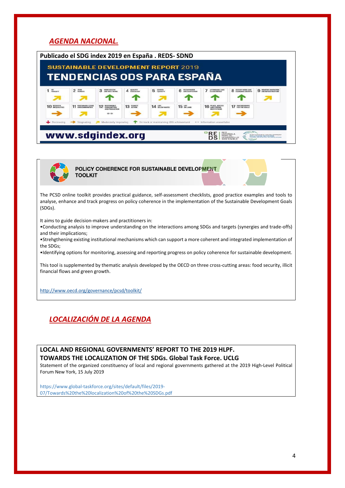## *AGENDA NACIONAL.*

|                   |                                              |                                                                           |                             | Publicado el SDG index 2019 en España . REDS-SDND<br><b>SUSTAINABLE DEVELOPMENT REPORT 2019</b><br><b>TENDENCIAS ODS PARA ESPAÑA</b> |                                      |                                                |                                                    |                                                                                                                |
|-------------------|----------------------------------------------|---------------------------------------------------------------------------|-----------------------------|--------------------------------------------------------------------------------------------------------------------------------------|--------------------------------------|------------------------------------------------|----------------------------------------------------|----------------------------------------------------------------------------------------------------------------|
| $1NO$ POWERTY     | ZERO<br>HUNGER                               | <b>GOOD HEALTH</b><br>AND WELL-REING                                      | <b>QUALITY</b><br>FOUCATION | 5<br><b>SENDER</b>                                                                                                                   | <b>CLEAN WATER</b><br>AND SANITATION | AFFORDABLE AND<br><b>CLEAN ENERGY</b>          | <b>DECENT WORK AND</b><br><b>FCOMOMIC GROWER</b>   | <b>CA INDUSTRY INVOLVATION</b>                                                                                 |
| <b>10 REDUCED</b> | <b>SUSTAINABLE CITIES</b><br>AND CONNUMITIES | <b>RESPONSIBLE</b><br><b>CONSUMPTION</b><br><b>MO PRODUCTION</b><br>65.65 | 13 SUMATE                   | 14 UFF BELOW WATER                                                                                                                   | $15iff$ <sub><i>IM LAND</i></sub>    | <b>16 PEACE, JUSTICE</b><br><b>MSTITUTIONS</b> | <b>17 PARTMERSHIPS</b>                             |                                                                                                                |
| Decreasing        | Stagnating<br>www.sdgindex.org               | Moderately improving                                                      |                             | On track or maintaining SDG achievement                                                                                              |                                      | ·· Information unavailable                     | <b>RED</b><br>ESPAÑOLA<br>DESARROLLO<br>SOSTENIBLE | SUSTAINABLE DEVELOPMENT<br>SOLUTIONS NETWORK<br><b>UNLOCKED, INSTRUCTION SUITE TIME ENGINEERS INSTRUCTIONS</b> |



POLICY COHERENCE FOR SUSTAINABLE DEVELOPMENT **TOOLKIT** 

The PCSD online toolkit provides practical guidance, self-assessment checklists, good practice examples and tools to analyse, enhance and track progress on policy coherence in the implementation of the Sustainable Development Goals (SDGs).

It aims to guide decision-makers and practitioners in:

•Conducting analysis to improve understanding on the interactions among SDGs and targets (synergies and trade-offs) and their implications;

•Strehgthening existing institutional mechanisms which can support a more coherent and integrated implementation of the SDGs;

•Identifying options for monitoring, assessing and reporting progress on policy coherence for sustainable development.

This tool is supplemented by thematic analysis developed by the OECD on three cross-cutting areas: food security, illicit financial flows and green growth.

<http://www.oecd.org/governance/pcsd/toolkit/>

## *LOCALIZACIÓN DE LA AGENDA*

**LOCAL AND REGIONAL GOVERNMENTS' REPORT TO THE 2019 HLPF. TOWARDS THE LOCALIZATION OF THE SDGs. Global Task Force. UCLG**

Statement of the organized constituency of local and regional governments gathered at the 2019 High-Level Political Forum New York, 15 July 2019

https://www.global-taskforce.org/sites/default/files/2019- 07/Towards%20the%20localization%20of%20the%20SDGs.pdf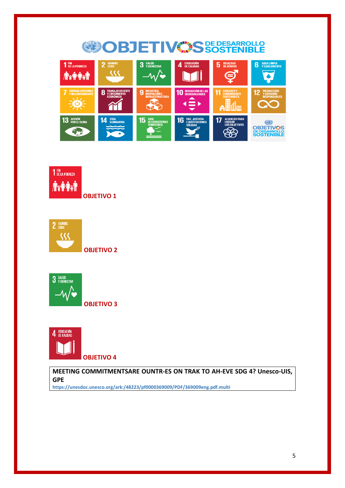#### **OBJETIVOS DE DESARROLLO** 1 FIN<br>1 DE LA POBREZA **3** SALUD<br>Y BIENESTAR **6** AGUA LIMPIA<br>
Y SANEAMIENTO 4 EDUCACIÓN 2 HAMBRE **5 IGUALDAD**  $\overline{\mathcal{M}}$ **The Fraction**  $-\sqrt{\bullet}$  $\boldsymbol{\ominus}$  $10<sub>5</sub>$ 8 9 11 ENERGIA ASEQUIBI<br>Y NO CONTAMINANT 12 ි R ☶ ALIANZAS PARA<br>Lograr<br>Los objetivos 13 ACCIÓN 14 **VIDA<br>Submarina** 15 16  $17$ VIDA<br>De Ecosistemas<br>Terrestres 0 **OBJETIVOS**<br>DE DESARROLLO<br>SOSTENIBLE \$ Egypt



**OBJETIVO 2**





**OBJETIVO 4**

**MEETING COMMITMENTSARE OUNTR-ES ON TRAK TO AH-EVE SDG 4? Unesco-UIS, GPE**

**https://unesdoc.unesco.org/ark:/48223/pf0000369009/PDF/369009eng.pdf.multi**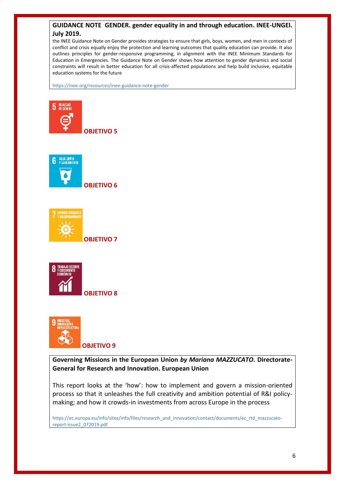## **GUIDANCE NOTE GENDER. gender equality in and through education. INEE-UNGEI. July 2019.**

the INEE Guidance Note on Gender provides strategies to ensure that girls, boys, women, and men in contexts of conflict and crisis equally enjoy the protection and learning outcomes that quality education can provide. It also outlines principles for gender-responsive programming, in alignment with the INEE Minimum Standards for Education in Emergencies. The Guidance Note on Gender shows how attention to gender dynamics and social constraints will result in better education for all crisis-affected populations and help build inclusive, equitable education systems for the future

https://inee.org/resources/inee-guidance-note-gender







**OBJETIVO 7**





**Governing Missions in the European Union** *by Mariana MAZZUCATO.* **Directorate-General for Research and Innovation. European Union**

This report looks at the 'how': how to implement and govern a mission-oriented process so that it unleashes the full creativity and ambition potential of R&I policymaking; and how it crowds-in investments from across Europe in the process

https://ec.europa.eu/info/sites/info/files/research\_and\_innovation/contact/documents/ec\_rtd\_mazzucatoreport-issue2\_072019.pdf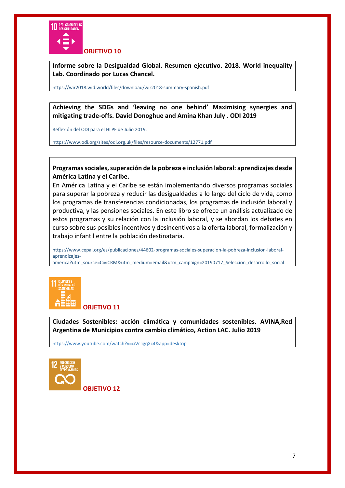

**Informe sobre la Desigualdad Global. Resumen ejecutivo. 2018. World inequality Lab. Coordinado por Lucas Chancel.** 

https://wir2018.wid.world/files/download/wir2018-summary-spanish.pdf

**Achieving the SDGs and 'leaving no one behind' Maximising synergies and mitigating trade-offs. David Donoghue and Amina Khan July . ODI 2019**

Reflexión del ODI para el HLPF de Julio 2019.

https://www.odi.org/sites/odi.org.uk/files/resource-documents/12771.pdf

**Programas sociales, superación de la pobreza e inclusión laboral: aprendizajes desde América Latina y el Caribe.**

En América Latina y el Caribe se están implementando diversos programas sociales para superar la pobreza y reducir las desigualdades a lo largo del ciclo de vida, como los programas de transferencias condicionadas, los programas de inclusión laboral y productiva, y las pensiones sociales. En este libro se ofrece un análisis actualizado de estos programas y su relación con la inclusión laboral, y se abordan los debates en curso sobre sus posibles incentivos y desincentivos a la oferta laboral, formalización y trabajo infantil entre la población destinataria.

https://www.cepal.org/es/publicaciones/44602-programas-sociales-superacion-la-pobreza-inclusion-laboralaprendizajes-

america?utm\_source=CiviCRM&utm\_medium=email&utm\_campaign=20190717\_Seleccion\_desarrollo\_social



**OBJETIVO 11**

**Ciudades Sostenibles: acción climática y comunidades sostenibles. AVINA,Red Argentina de Municipios contra cambio climático, Action LAC. Julio 2019**

https://www.youtube.com/watch?v=ciVcligqXc4&app=desktop